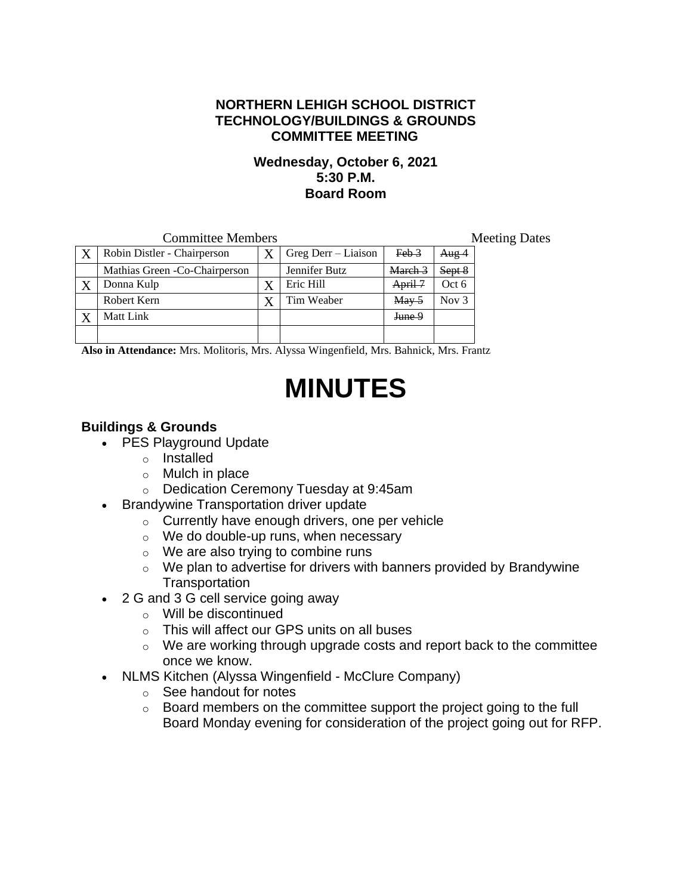## **NORTHERN LEHIGH SCHOOL DISTRICT TECHNOLOGY/BUILDINGS & GROUNDS COMMITTEE MEETING**

#### **Wednesday, October 6, 2021 5:30 P.M. Board Room**

| <b>Committee Members</b> |                                |   |                       |                | <b>Meeting Dates</b> |  |  |
|--------------------------|--------------------------------|---|-----------------------|----------------|----------------------|--|--|
|                          | Robin Distler - Chairperson    |   | $Greg$ Derr – Liaison | $Feb-3$        | Aug <sub>4</sub>     |  |  |
|                          | Mathias Green - Co-Chairperson |   | Jennifer Butz         | March 3        | Sept 8               |  |  |
|                          | Donna Kulp                     | Х | Eric Hill             | April 7        | Oct 6                |  |  |
|                          | Robert Kern                    |   | Tim Weaber            | $\text{Mav} 5$ | Nov $3$              |  |  |
|                          | Matt Link                      |   |                       | June 9         |                      |  |  |
|                          |                                |   |                       |                |                      |  |  |

**Also in Attendance:** Mrs. Molitoris, Mrs. Alyssa Wingenfield, Mrs. Bahnick, Mrs. Frantz

# **MINUTES**

# **Buildings & Grounds**

- PES Playground Update
	- o Installed
	- o Mulch in place
	- o Dedication Ceremony Tuesday at 9:45am
- Brandywine Transportation driver update
	- $\circ$  Currently have enough drivers, one per vehicle
	- o We do double-up runs, when necessary
	- $\circ$  We are also trying to combine runs
	- $\circ$  We plan to advertise for drivers with banners provided by Brandywine **Transportation**
- 2 G and 3 G cell service going away
	- o Will be discontinued
	- o This will affect our GPS units on all buses
	- $\circ$  We are working through upgrade costs and report back to the committee once we know.
- NLMS Kitchen (Alyssa Wingenfield McClure Company)
	- o See handout for notes
	- $\circ$  Board members on the committee support the project going to the full Board Monday evening for consideration of the project going out for RFP.